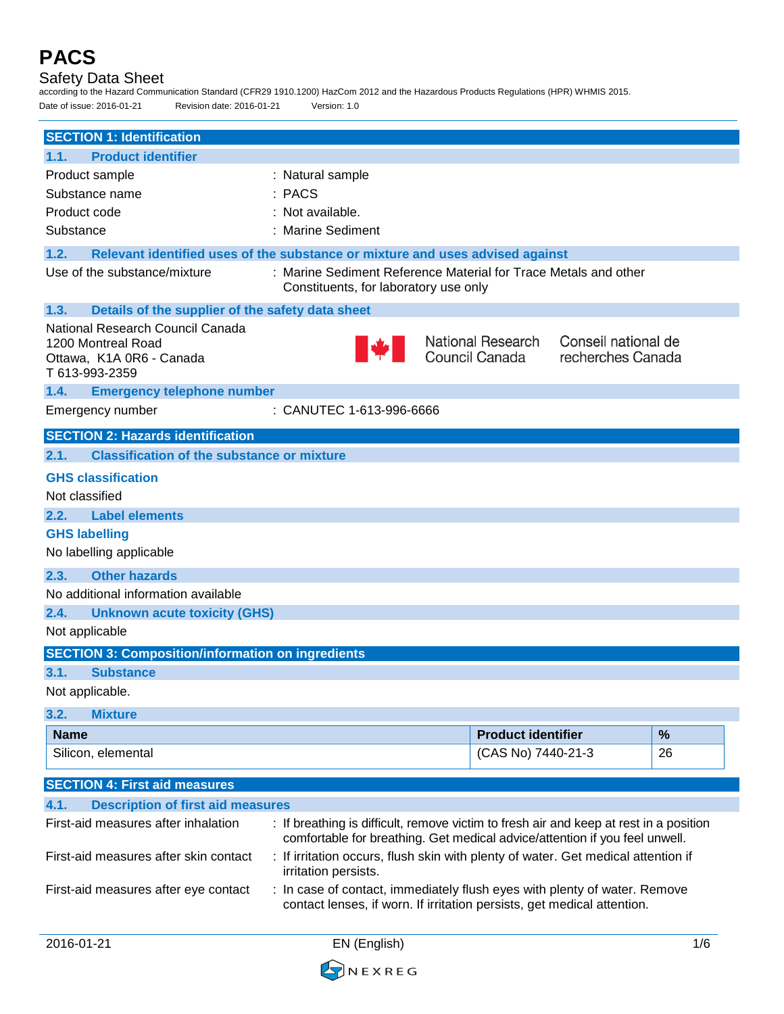## Safety Data Sheet

according to the Hazard Communication Standard (CFR29 1910.1200) HazCom 2012 and the Hazardous Products Regulations (HPR) WHMIS 2015.

| Date of issue: 2016-01-21                                                                            | Revision date: 2016-01-21<br>Version: 1.0                                     |                                                                                                                                                                       |                                          |
|------------------------------------------------------------------------------------------------------|-------------------------------------------------------------------------------|-----------------------------------------------------------------------------------------------------------------------------------------------------------------------|------------------------------------------|
| <b>SECTION 1: Identification</b>                                                                     |                                                                               |                                                                                                                                                                       |                                          |
| <b>Product identifier</b><br>1.1.                                                                    |                                                                               |                                                                                                                                                                       |                                          |
| Product sample                                                                                       | : Natural sample                                                              |                                                                                                                                                                       |                                          |
| Substance name                                                                                       | : PACS                                                                        |                                                                                                                                                                       |                                          |
| Product code                                                                                         | : Not available.                                                              |                                                                                                                                                                       |                                          |
| Substance                                                                                            | : Marine Sediment                                                             |                                                                                                                                                                       |                                          |
| 1.2.                                                                                                 | Relevant identified uses of the substance or mixture and uses advised against |                                                                                                                                                                       |                                          |
| Use of the substance/mixture                                                                         | Constituents, for laboratory use only                                         | : Marine Sediment Reference Material for Trace Metals and other                                                                                                       |                                          |
| 1.3.                                                                                                 | Details of the supplier of the safety data sheet                              |                                                                                                                                                                       |                                          |
| National Research Council Canada<br>1200 Montreal Road<br>Ottawa, K1A 0R6 - Canada<br>T 613-993-2359 |                                                                               | National Research<br>Council Canada                                                                                                                                   | Conseil national de<br>recherches Canada |
| 1.4.<br><b>Emergency telephone number</b>                                                            |                                                                               |                                                                                                                                                                       |                                          |
| Emergency number                                                                                     | : CANUTEC 1-613-996-6666                                                      |                                                                                                                                                                       |                                          |
| <b>SECTION 2: Hazards identification</b>                                                             |                                                                               |                                                                                                                                                                       |                                          |
| <b>Classification of the substance or mixture</b><br>2.1.                                            |                                                                               |                                                                                                                                                                       |                                          |
| <b>GHS classification</b>                                                                            |                                                                               |                                                                                                                                                                       |                                          |
| Not classified                                                                                       |                                                                               |                                                                                                                                                                       |                                          |
| 2.2.<br><b>Label elements</b>                                                                        |                                                                               |                                                                                                                                                                       |                                          |
| <b>GHS labelling</b>                                                                                 |                                                                               |                                                                                                                                                                       |                                          |
| No labelling applicable                                                                              |                                                                               |                                                                                                                                                                       |                                          |
| 2.3.<br><b>Other hazards</b>                                                                         |                                                                               |                                                                                                                                                                       |                                          |
| No additional information available                                                                  |                                                                               |                                                                                                                                                                       |                                          |
| 2.4.<br><b>Unknown acute toxicity (GHS)</b>                                                          |                                                                               |                                                                                                                                                                       |                                          |
| Not applicable                                                                                       |                                                                               |                                                                                                                                                                       |                                          |
| <b>SECTION 3: Composition/information on ingredients</b>                                             |                                                                               |                                                                                                                                                                       |                                          |
| 3.1.<br><b>Substance</b>                                                                             |                                                                               |                                                                                                                                                                       |                                          |
| Not applicable.                                                                                      |                                                                               |                                                                                                                                                                       |                                          |
| 3.2.<br><b>Mixture</b>                                                                               |                                                                               |                                                                                                                                                                       |                                          |
| <b>Name</b>                                                                                          |                                                                               | <b>Product identifier</b>                                                                                                                                             | %                                        |
| Silicon, elemental                                                                                   |                                                                               | (CAS No) 7440-21-3                                                                                                                                                    | 26                                       |
|                                                                                                      |                                                                               |                                                                                                                                                                       |                                          |
| <b>SECTION 4: First aid measures</b>                                                                 |                                                                               |                                                                                                                                                                       |                                          |
| 4.1.<br><b>Description of first aid measures</b>                                                     |                                                                               |                                                                                                                                                                       |                                          |
| First-aid measures after inhalation                                                                  |                                                                               | : If breathing is difficult, remove victim to fresh air and keep at rest in a position<br>comfortable for breathing. Get medical advice/attention if you feel unwell. |                                          |
| First-aid measures after skin contact                                                                | irritation persists.                                                          | : If irritation occurs, flush skin with plenty of water. Get medical attention if                                                                                     |                                          |
| First-aid measures after eye contact                                                                 |                                                                               | : In case of contact, immediately flush eyes with plenty of water. Remove<br>contact lenses, if worn. If irritation persists, get medical attention.                  |                                          |

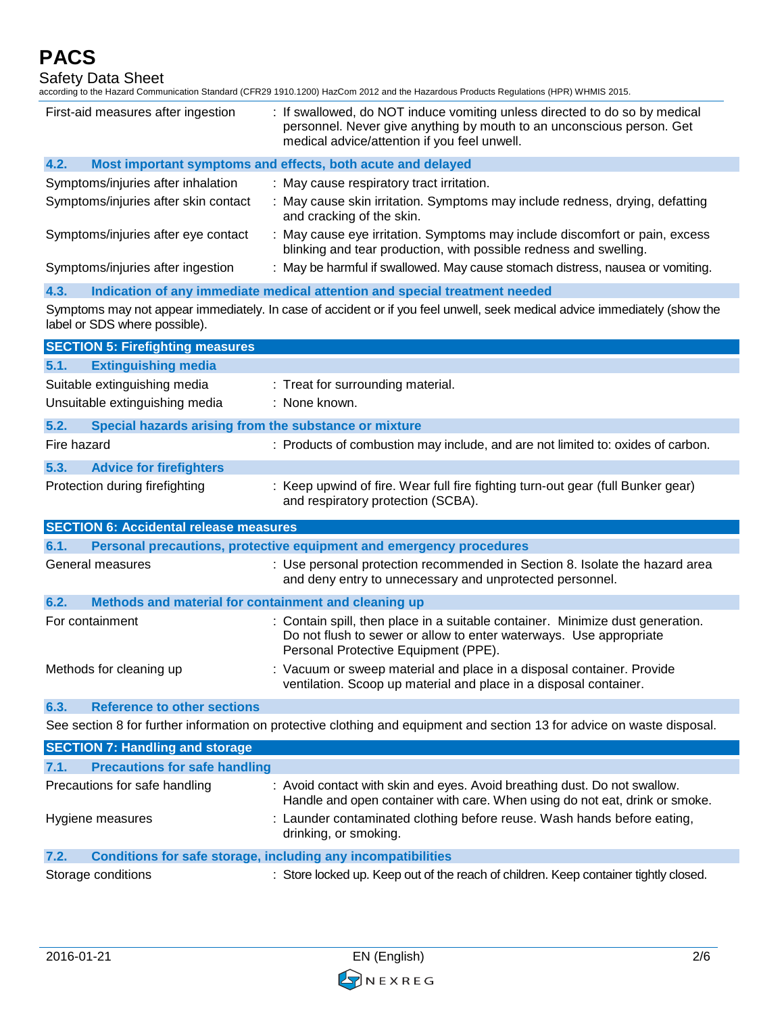Safety Data Sheet

according to the Hazard Communication Standard (CFR29 1910.1200) HazCom 2012 and the Hazardous Products Regulations (HPR) WHMIS 2015.

| First-aid measures after ingestion                                          | : If swallowed, do NOT induce vomiting unless directed to do so by medical<br>personnel. Never give anything by mouth to an unconscious person. Get<br>medical advice/attention if you feel unwell. |
|-----------------------------------------------------------------------------|-----------------------------------------------------------------------------------------------------------------------------------------------------------------------------------------------------|
| 4.2.                                                                        | Most important symptoms and effects, both acute and delayed                                                                                                                                         |
| Symptoms/injuries after inhalation                                          | : May cause respiratory tract irritation.                                                                                                                                                           |
| Symptoms/injuries after skin contact                                        | : May cause skin irritation. Symptoms may include redness, drying, defatting<br>and cracking of the skin.                                                                                           |
| Symptoms/injuries after eye contact                                         | : May cause eye irritation. Symptoms may include discomfort or pain, excess<br>blinking and tear production, with possible redness and swelling.                                                    |
| Symptoms/injuries after ingestion                                           | : May be harmful if swallowed. May cause stomach distress, nausea or vomiting.                                                                                                                      |
| 4.3.                                                                        | Indication of any immediate medical attention and special treatment needed                                                                                                                          |
| label or SDS where possible).                                               | Symptoms may not appear immediately. In case of accident or if you feel unwell, seek medical advice immediately (show the                                                                           |
| <b>SECTION 5: Firefighting measures</b>                                     |                                                                                                                                                                                                     |
| 5.1.<br><b>Extinguishing media</b>                                          |                                                                                                                                                                                                     |
| Suitable extinguishing media<br>Unsuitable extinguishing media              | : Treat for surrounding material.<br>: None known.                                                                                                                                                  |
| 5.2.<br>Special hazards arising from the substance or mixture               |                                                                                                                                                                                                     |
| Fire hazard                                                                 | : Products of combustion may include, and are not limited to: oxides of carbon.                                                                                                                     |
| 5.3.<br><b>Advice for firefighters</b>                                      |                                                                                                                                                                                                     |
| Protection during firefighting                                              | : Keep upwind of fire. Wear full fire fighting turn-out gear (full Bunker gear)<br>and respiratory protection (SCBA).                                                                               |
| <b>SECTION 6: Accidental release measures</b>                               |                                                                                                                                                                                                     |
| 6.1.                                                                        | Personal precautions, protective equipment and emergency procedures                                                                                                                                 |
| General measures                                                            | : Use personal protection recommended in Section 8. Isolate the hazard area<br>and deny entry to unnecessary and unprotected personnel.                                                             |
| Methods and material for containment and cleaning up<br>6.2.                |                                                                                                                                                                                                     |
| For containment                                                             | : Contain spill, then place in a suitable container. Minimize dust generation.<br>Do not flush to sewer or allow to enter waterways. Use appropriate<br>Personal Protective Equipment (PPE).        |
| Methods for cleaning up                                                     | : Vacuum or sweep material and place in a disposal container. Provide<br>ventilation. Scoop up material and place in a disposal container.                                                          |
| <b>Reference to other sections</b><br>6.3.                                  |                                                                                                                                                                                                     |
|                                                                             | See section 8 for further information on protective clothing and equipment and section 13 for advice on waste disposal.                                                                             |
| <b>SECTION 7: Handling and storage</b>                                      |                                                                                                                                                                                                     |
| <b>Precautions for safe handling</b><br>7.1.                                |                                                                                                                                                                                                     |
| Precautions for safe handling                                               | : Avoid contact with skin and eyes. Avoid breathing dust. Do not swallow.<br>Handle and open container with care. When using do not eat, drink or smoke.                                            |
| Hygiene measures                                                            | : Launder contaminated clothing before reuse. Wash hands before eating,<br>drinking, or smoking.                                                                                                    |
| 7.2.<br><b>Conditions for safe storage, including any incompatibilities</b> |                                                                                                                                                                                                     |
| Storage conditions                                                          | : Store locked up. Keep out of the reach of children. Keep container tightly closed.                                                                                                                |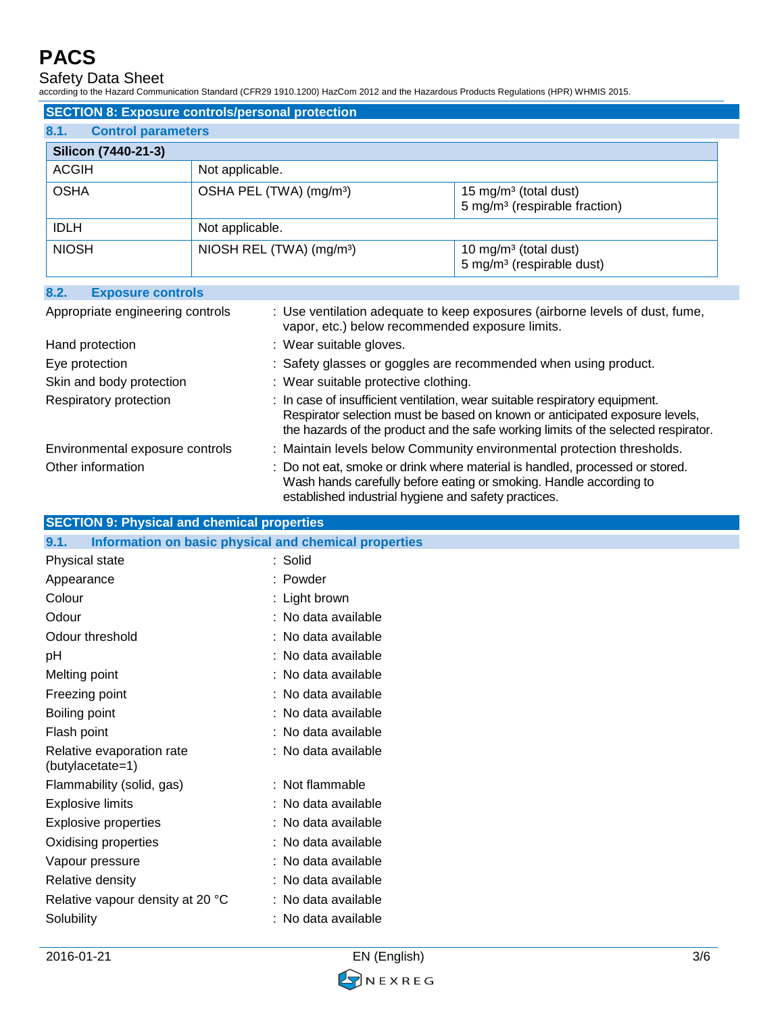Safety Data Sheet

according to the Hazard Communication Standard (CFR29 1910.1200) HazCom 2012 and the Hazardous Products Regulations (HPR) WHMIS 2015.

|                                   | <b>SECTION 8: Exposure controls/personal protection</b> |                                                                                |
|-----------------------------------|---------------------------------------------------------|--------------------------------------------------------------------------------|
| 8.1.<br><b>Control parameters</b> |                                                         |                                                                                |
| Silicon (7440-21-3)               |                                                         |                                                                                |
| <b>ACGIH</b>                      | Not applicable.                                         |                                                                                |
| <b>OSHA</b>                       | OSHA PEL (TWA) (mg/m <sup>3</sup> )                     | 15 mg/m <sup>3</sup> (total dust)<br>5 mg/m <sup>3</sup> (respirable fraction) |
| <b>IDLH</b>                       | Not applicable.                                         |                                                                                |
| <b>NIOSH</b>                      | NIOSH REL (TWA) (mg/m <sup>3</sup> )                    | 10 mg/m <sup>3</sup> (total dust)<br>5 mg/m <sup>3</sup> (respirable dust)     |

| 8.2.<br><b>Exposure controls</b> |                                                                                                                                                                                                                                                  |
|----------------------------------|--------------------------------------------------------------------------------------------------------------------------------------------------------------------------------------------------------------------------------------------------|
| Appropriate engineering controls | : Use ventilation adequate to keep exposures (airborne levels of dust, fume,<br>vapor, etc.) below recommended exposure limits.                                                                                                                  |
| Hand protection                  | : Wear suitable gloves.                                                                                                                                                                                                                          |
| Eye protection                   | : Safety glasses or goggles are recommended when using product.                                                                                                                                                                                  |
| Skin and body protection         | : Wear suitable protective clothing.                                                                                                                                                                                                             |
| Respiratory protection           | : In case of insufficient ventilation, wear suitable respiratory equipment.<br>Respirator selection must be based on known or anticipated exposure levels,<br>the hazards of the product and the safe working limits of the selected respirator. |
| Environmental exposure controls  | : Maintain levels below Community environmental protection thresholds.                                                                                                                                                                           |
| Other information                | : Do not eat, smoke or drink where material is handled, processed or stored.<br>Wash hands carefully before eating or smoking. Handle according to<br>established industrial hygiene and safety practices.                                       |

| <b>SECTION 9: Physical and chemical properties</b> |  |
|----------------------------------------------------|--|
|                                                    |  |

| Information on basic physical and chemical properties<br>9.1. |                     |
|---------------------------------------------------------------|---------------------|
| Physical state                                                | : Solid             |
| Appearance                                                    | : Powder            |
| Colour                                                        | : Light brown       |
| Odour                                                         | : No data available |
| Odour threshold                                               | : No data available |
| pH                                                            | : No data available |
| Melting point                                                 | : No data available |
| Freezing point                                                | : No data available |
| Boiling point                                                 | : No data available |
| Flash point                                                   | : No data available |
| Relative evaporation rate<br>(butylacetate=1)                 | : No data available |
| Flammability (solid, gas)                                     | : Not flammable     |
| <b>Explosive limits</b>                                       | : No data available |
| <b>Explosive properties</b>                                   | : No data available |
| Oxidising properties                                          | : No data available |
| Vapour pressure                                               | : No data available |
| Relative density                                              | : No data available |
| Relative vapour density at 20 °C                              | : No data available |
| Solubility                                                    | : No data available |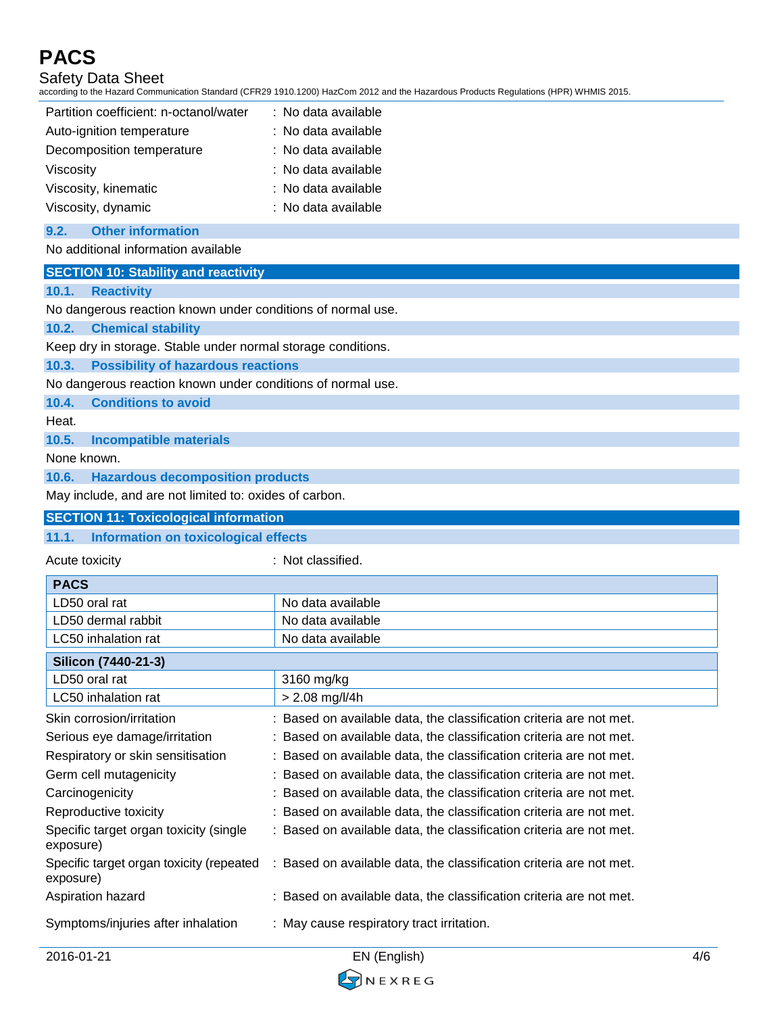# Safety Data Sheet

according to the Hazard Communication Standard (CFR29 1910.1200) HazCom 2012 and the Hazardous Products Regulations (HPR) WHMIS 2015.

| Partition coefficient: n-octanol/water | : No data available |
|----------------------------------------|---------------------|
| Auto-ignition temperature              | : No data available |
| Decomposition temperature              | : No data available |
| Viscosity                              | : No data available |
| Viscosity, kinematic                   | : No data available |
| Viscosity, dynamic                     | : No data available |

#### **9.2. Other information**

### No additional information available

| <b>SECTION 10: Stability and reactivity</b> |
|---------------------------------------------|
|---------------------------------------------|

#### **10.1. Reactivity**

No dangerous reaction known under conditions of normal use.

### **10.2. Chemical stability**

Keep dry in storage. Stable under normal storage conditions.

**10.3. Possibility of hazardous reactions**

No dangerous reaction known under conditions of normal use.

**10.4. Conditions to avoid**

Heat.

**10.5. Incompatible materials**

None known.

**10.6. Hazardous decomposition products**

May include, and are not limited to: oxides of carbon.

### **SECTION 11: Toxicological information**

## **11.1. Information on toxicological effects**

Acute toxicity **in the case of the contract of the contract of the contract of the contract of the contract of the contract of the contract of the contract of the contract of the contract of the contract of the contract of** 

| <b>PACS</b>                                           |                                                                     |
|-------------------------------------------------------|---------------------------------------------------------------------|
| LD50 oral rat                                         | No data available                                                   |
| LD50 dermal rabbit                                    | No data available                                                   |
| LC50 inhalation rat                                   | No data available                                                   |
| Silicon (7440-21-3)                                   |                                                                     |
| LD50 oral rat                                         | 3160 mg/kg                                                          |
| LC50 inhalation rat                                   | $> 2.08$ mg/l/4h                                                    |
| Skin corrosion/irritation                             | : Based on available data, the classification criteria are not met. |
| Serious eye damage/irritation                         | : Based on available data, the classification criteria are not met. |
| Respiratory or skin sensitisation                     | : Based on available data, the classification criteria are not met. |
| Germ cell mutagenicity                                | Based on available data, the classification criteria are not met.   |
| Carcinogenicity                                       | Based on available data, the classification criteria are not met.   |
| Reproductive toxicity                                 | : Based on available data, the classification criteria are not met. |
| Specific target organ toxicity (single<br>exposure)   | : Based on available data, the classification criteria are not met. |
| Specific target organ toxicity (repeated<br>exposure) | : Based on available data, the classification criteria are not met. |
| Aspiration hazard                                     | : Based on available data, the classification criteria are not met. |
| Symptoms/injuries after inhalation                    | : May cause respiratory tract irritation.                           |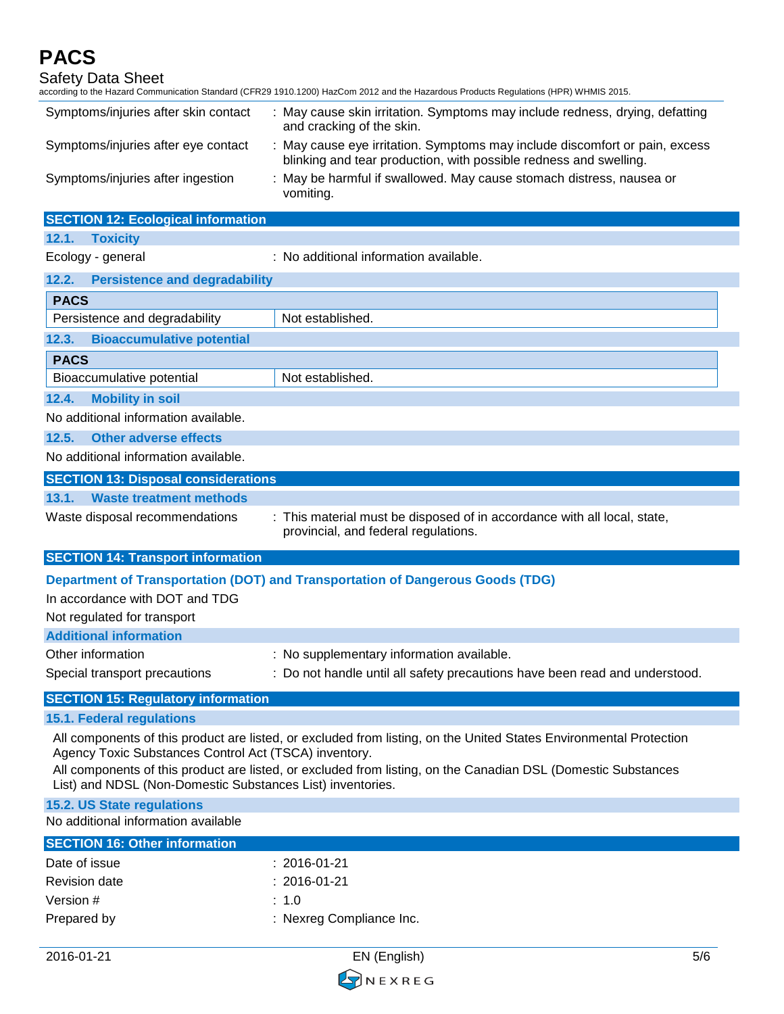Safety Data Sheet according to the Hazard Communication Standard (CFR29 1910.1200) HazCom 2012 and the Hazardous Products Regulations (HPR) WHMIS 2015. Symptoms/injuries after skin contact : May cause skin irritation. Symptoms may include redness, drying, defatting and cracking of the skin. Symptoms/injuries after eye contact : May cause eye irritation. Symptoms may include discomfort or pain, excess blinking and tear production, with possible redness and swelling. Symptoms/injuries after ingestion : May be harmful if swallowed. May cause stomach distress, nausea or vomiting. **SECTION 12: Ecological information 12.1. Toxicity** Ecology - general : No additional information available. **12.2. Persistence and degradability PACS** Persistence and degradability Not established. **12.3. Bioaccumulative potential PACS** Bioaccumulative potential Not established. **12.4. Mobility in soil** No additional information available. **12.5. Other adverse effects** No additional information available. **SECTION 13: Disposal considerations 13.1. Waste treatment methods** Waste disposal recommendations : This material must be disposed of in accordance with all local, state, provincial, and federal regulations. **SECTION 14: Transport information Department of Transportation (DOT) and Transportation of Dangerous Goods (TDG)** In accordance with DOT and TDG Not regulated for transport **Additional information** Other information **contact of the Contract Contract Contract Contract Contract Contract Contract Contract Contract Contract Contract Contract Contract Contract Contract Contract Contract Contract Contract Contract Contract** Special transport precautions : Do not handle until all safety precautions have been read and understood. **SECTION 15: Regulatory information 15.1. Federal regulations** All components of this product are listed, or excluded from listing, on the United States Environmental Protection Agency Toxic Substances Control Act (TSCA) inventory. All components of this product are listed, or excluded from listing, on the Canadian DSL (Domestic Substances List) and NDSL (Non-Domestic Substances List) inventories. **15.2. US State regulations** No additional information available **SECTION 16: Other information** Date of issue : 2016-01-21 Revision date : 2016-01-21 Version  $\#$  : 1.0 Prepared by **Example 20** Section 2011 : Nexreg Compliance Inc.